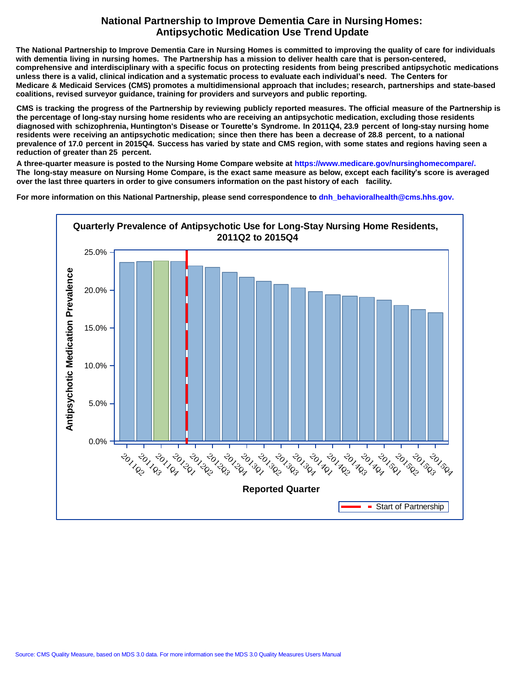## **National Partnership to Improve Dementia Care in Nursing Homes: Antipsychotic Medication Use Trend Update**

The National Partnership to Improve Dementia Care in Nursing Homes is committed to improving the quality of care for individuals with dementia living in nursing homes. The Partnership has a mission to deliver health care that is person-centered, comprehensive and interdisciplinary with a specific focus on protecting residents from being prescribed antipsychotic medications **unless there is a valid, clinical indication and a systematic process to evaluate each individual's need. The Centers for** Medicare & Medicaid Services (CMS) promotes a multidimensional approach that includes; research, partnerships and state-based **coalitions, revised surveyor guidance, training for providers and surveyors and public reporting.**

CMS is tracking the progress of the Partnership by reviewing publicly reported measures. The official measure of the Partnership is **the percentage of long-stay nursing home residents who are receiving an antipsychotic medication, excluding those residents** diagnosed with schizophrenia, Huntington's Disease or Tourette's Syndrome. In 2011Q4, 23.9 percent of long-stay nursing home residents were receiving an antipsychotic medication; since then there has been a decrease of 28.8 percent, to a national prevalence of 17.0 percent in 2015Q4. Success has varied by state and CMS region, with some states and regions having seen a **reduction of greater than 25 percent.**

**A three-quarter measure is posted to the Nursing Home Compare website at [https://www.medicare.gov/nursinghomecompare/.](http://www.medicare.gov/nursinghomecompare/)**  The long-stay measure on Nursing Home Compare, is the exact same measure as below, except each facility's score is averaged **over the last three quarters in order to give consumers information on the past history of each facility.**

**For more information on this National Partnership, [please send correspondence to dnh\\_behavioralhealth@cms.hhs.gov.](mailto:dnh_behavioralhealth@cms.hhs.gov)**

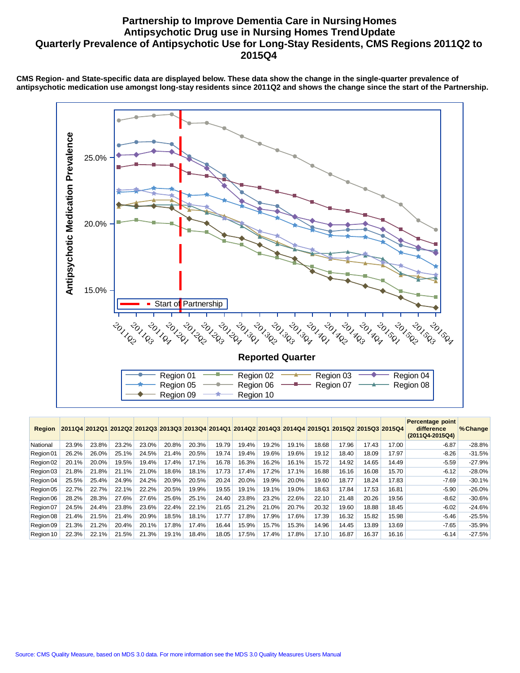## **Partnership to Improve Dementia Care in Nursing Homes Antipsychotic Drug use in Nursing Homes TrendUpdate Quarterly Prevalence of Antipsychotic Use for Long-Stay Residents, CMS Regions 2011Q2 to 2015Q4**

**CMS Region- and State-specific data are displayed below. These data show the change in the single-quarter prevalence of antipsychotic medication use amongst long-stay residents since 2011Q2 and shows the change since the start of the Partnership.**



| <b>Region</b> |       | 2011Q4 2012Q1 |       |       |       |       |       | 2012Q2 2012Q3 2013Q3 2013Q4 2014Q1 2014Q2 2014Q3 2014Q4 2015Q1 |       |       |       | 2015Q2 2015Q3 2015Q4 |       |       | Percentage point<br>difference<br>(2011Q4-2015Q4) | % Change |
|---------------|-------|---------------|-------|-------|-------|-------|-------|----------------------------------------------------------------|-------|-------|-------|----------------------|-------|-------|---------------------------------------------------|----------|
| National      | 23.9% | 23.8%         | 23.2% | 23.0% | 20.8% | 20.3% | 19.79 | 19.4%                                                          | 19.2% | 19.1% | 18.68 | 17.96                | 17.43 | 17.00 | $-6.87$                                           | $-28.8%$ |
| Region 01     | 26.2% | 26.0%         | 25.1% | 24.5% | 21.4% | 20.5% | 19.74 | 19.4%                                                          | 19.6% | 19.6% | 19.12 | 18.40                | 18.09 | 17.97 | $-8.26$                                           | $-31.5%$ |
| Region 02     | 20.1% | 20.0%         | 19.5% | 19.4% | 17.4% | 17.1% | 16.78 | 16.3%                                                          | 16.2% | 16.1% | 15.72 | 14.92                | 14.65 | 14.49 | $-5.59$                                           | $-27.9%$ |
| Region 03     | 21.8% | 21.8%         | 21.1% | 21.0% | 18.6% | 18.1% | 17.73 | 17.4%                                                          | 17.2% | 17.1% | 16.88 | 16.16                | 16.08 | 15.70 | $-6.12$                                           | $-28.0%$ |
| Region 04     | 25.5% | 25.4%         | 24.9% | 24.2% | 20.9% | 20.5% | 20.24 | 20.0%                                                          | 19.9% | 20.0% | 19.60 | 18.77                | 18.24 | 17.83 | $-7.69$                                           | $-30.1%$ |
| Region 05     | 22.7% | 22.7%         | 22.1% | 22.2% | 20.5% | 19.9% | 19.55 | 19.1%                                                          | 19.1% | 19.0% | 18.63 | 17.84                | 17.53 | 16.81 | $-5.90$                                           | $-26.0%$ |
| Region 06     | 28.2% | 28.3%         | 27.6% | 27.6% | 25.6% | 25.1% | 24.40 | 23.8%                                                          | 23.2% | 22.6% | 22.10 | 21.48                | 20.26 | 19.56 | $-8.62$                                           | $-30.6%$ |
| Region 07     | 24.5% | 24.4%         | 23.8% | 23.6% | 22.4% | 22.1% | 21.65 | 21.2%                                                          | 21.0% | 20.7% | 20.32 | 19.60                | 18.88 | 18.45 | $-6.02$                                           | $-24.6%$ |
| Region 08     | 21.4% | 21.5%         | 21.4% | 20.9% | 18.5% | 18.1% | 17.77 | 17.8%                                                          | 17.9% | 17.6% | 17.39 | 16.32                | 15.82 | 15.98 | $-5.46$                                           | $-25.5%$ |
| Region 09     | 21.3% | 21.2%         | 20.4% | 20.1% | 17.8% | 17.4% | 16.44 | 15.9%                                                          | 15.7% | 15.3% | 14.96 | 14.45                | 13.89 | 13.69 | $-7.65$                                           | $-35.9%$ |
| Region 10     | 22.3% | 22.1%         | 21.5% | 21.3% | 19.1% | 18.4% | 18.05 | 17.5%                                                          | 17.4% | 17.8% | 17.10 | 16.87                | 16.37 | 16.16 | $-6.14$                                           | $-27.5%$ |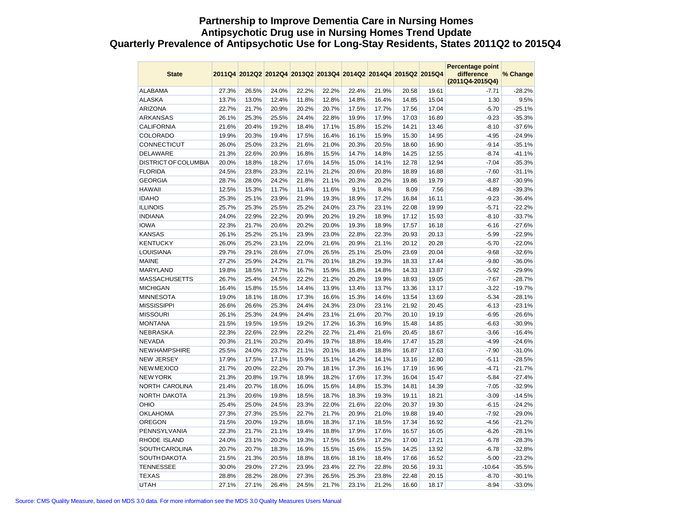## **Partnership to Improve Dementia Care in Nursing Homes Antipsychotic Drug use in Nursing Homes Trend Update Quarterly Prevalence of Antipsychotic Use for Long-Stay Residents, States 2011Q2 to 2015Q4**

| <b>State</b>                |                |                |                |                |                | 2011Q4 2012Q2 2012Q4 2013Q2 2013Q4 2014Q2 2014Q4 2015Q2 2015Q4 |                |                |                | Percentage point<br>difference<br>(2011Q4-2015Q4) | % Change             |
|-----------------------------|----------------|----------------|----------------|----------------|----------------|----------------------------------------------------------------|----------------|----------------|----------------|---------------------------------------------------|----------------------|
| <b>ALABAMA</b>              | 27.3%          | 26.5%          | 24.0%          | 22.2%          | 22.2%          | 22.4%                                                          | 21.9%          | 20.58          | 19.61          | $-7.71$                                           | $-28.2%$             |
| <b>ALASKA</b>               | 13.7%          | 13.0%          | 12.4%          | 11.8%          | 12.8%          | 14.8%                                                          | 16.4%          | 14.85          | 15.04          | 1.30                                              | 9.5%                 |
| <b>ARIZONA</b>              | 22.7%          | 21.7%          | 20.9%          | 20.2%          | 20.7%          | 17.5%                                                          | 17.7%          | 17.56          | 17.04          | $-5.70$                                           | $-25.1%$             |
| <b>ARKANSAS</b>             | 26.1%          | 25.3%          | 25.5%          | 24.4%          | 22.8%          | 19.9%                                                          | 17.9%          | 17.03          | 16.89          | $-9.23$                                           | $-35.3%$             |
| <b>CALIFORNIA</b>           | 21.6%          | 20.4%          | 19.2%          | 18.4%          | 17.1%          | 15.8%                                                          | 15.2%          | 14.21          | 13.46          | $-8.10$                                           | $-37.6%$             |
| <b>COLORADO</b>             | 19.9%          | 20.3%          | 19.4%          | 17.5%          | 16.4%          | 16.1%                                                          | 15.9%          | 15.30          | 14.95          | $-4.95$                                           | $-24.9%$             |
| CONNECTICUT                 | 26.0%          | 25.0%          | 23.2%          | 21.6%          | 21.0%          | 20.3%                                                          | 20.5%          | 18.60          | 16.90          | $-9.14$                                           | $-35.1%$             |
| <b>DELAWARE</b>             | 21.3%          | 22.6%          | 20.9%          | 16.8%          | 15.5%          | 14.7%                                                          | 14.8%          | 14.25          | 12.55          | $-8.74$                                           | $-41.1%$             |
| <b>DISTRICT OF COLUMBIA</b> | 20.0%          | 18.8%          | 18.2%          | 17.6%          | 14.5%          | 15.0%                                                          | 14.1%          | 12.78          | 12.94          | $-7.04$                                           | $-35.3%$             |
| <b>FLORIDA</b>              | 24.5%          | 23.8%          | 23.3%          | 22.1%          | 21.2%          | 20.6%                                                          | 20.8%          | 18.89          | 16.88          | $-7.60$                                           | $-31.1%$             |
| <b>GEORGIA</b>              | 28.7%          | 28.0%          | 24.2%          | 21.8%          | 21.1%          | 20.3%                                                          | 20.2%          | 19.86          | 19.79          | $-8.87$                                           | $-30.9%$             |
| <b>HAWAII</b>               | 12.5%          | 15.3%          | 11.7%          | 11.4%          | 11.6%          | 9.1%                                                           | 8.4%           | 8.09           | 7.56           | $-4.89$                                           | $-39.3%$             |
| <b>IDAHO</b>                | 25.3%          | 25.1%          | 23.9%          | 21.9%          | 19.3%          | 18.9%                                                          | 17.2%          | 16.84          | 16.11          | $-9.23$                                           | $-36.4%$             |
| <b>ILLINOIS</b>             | 25.7%          | 25.3%          | 25.5%          | 25.2%          | 24.0%          | 23.7%                                                          | 23.1%          | 22.08          | 19.99          | $-5.71$                                           | $-22.2%$             |
| <b>INDIANA</b>              | 24.0%          | 22.9%          | 22.2%          | 20.9%          | 20.2%          | 19.2%                                                          | 18.9%          | 17.12          | 15.93          | $-8.10$                                           | $-33.7%$             |
| <b>IOWA</b>                 | 22.3%          | 21.7%          | 20.6%          | 20.2%          | 20.0%          | 19.3%                                                          | 18.9%          | 17.57          | 16.18          | $-6.16$                                           | $-27.6%$             |
| <b>KANSAS</b>               | 26.1%          | 25.2%          | 25.1%          | 23.9%          | 23.0%          | 22.8%                                                          | 22.3%          | 20.93          | 20.13          | $-5.99$                                           | $-22.9%$             |
| <b>KENTUCKY</b>             | 26.0%          | 25.2%          | 23.1%          | 22.0%          | 21.6%          | 20.9%                                                          | 21.1%          | 20.12          | 20.28          | $-5.70$                                           | $-22.0%$             |
| <b>LOUISIANA</b>            | 29.7%          | 29.1%          | 28.6%          | 27.0%          | 26.5%          | 25.1%                                                          | 25.0%          | 23.69          | 20.04          | $-9.68$                                           | $-32.6%$             |
| <b>MAINE</b>                | 27.2%          | 25.9%          | 24.2%          | 21.7%          | 20.1%          | 18.2%                                                          | 19.3%          | 18.33          | 17.44          | $-9.80$                                           | $-36.0%$             |
| <b>MARYLAND</b>             | 19.8%          | 18.5%          | 17.7%          | 16.7%          | 15.9%          | 15.8%                                                          | 14.8%          | 14.33          | 13.87          | $-5.92$                                           | $-29.9%$             |
| <b>MASSACHUSETTS</b>        | 26.7%          | 25.4%          | 24.5%          | 22.2%          | 21.2%          | 20.2%                                                          | 19.9%          | 18.93          | 19.05          | $-7.67$                                           | $-28.7%$             |
| <b>MICHIGAN</b>             | 16.4%          | 15.8%          | 15.5%          | 14.4%          | 13.9%          | 13.4%                                                          | 13.7%          | 13.36          | 13.17          | $-3.22$                                           | $-19.7%$             |
| <b>MINNESOTA</b>            | 19.0%          | 18.1%          | 18.0%          | 17.3%          | 16.6%          | 15.3%                                                          | 14.6%          | 13.54          | 13.69          | $-5.34$                                           | $-28.1%$             |
| <b>MISSISSIPPI</b>          | 26.6%          | 26.6%          | 25.3%          | 24.4%          | 24.3%          | 23.0%                                                          | 23.1%          | 21.92          | 20.45          | $-6.13$                                           | $-23.1%$             |
| <b>MISSOURI</b>             | 26.1%          | 25.3%          | 24.9%          | 24.4%          | 23.1%          | 21.6%                                                          | 20.7%          | 20.10          | 19.19          | $-6.95$                                           | $-26.6%$             |
| <b>MONTANA</b>              | 21.5%          | 19.5%          | 19.5%          | 19.2%          | 17.2%          | 16.3%                                                          | 16.9%          | 15.48          | 14.85          | $-6.63$                                           | $-30.9%$             |
| <b>NEBRASKA</b>             | 22.3%          | 22.6%          | 22.9%          | 22.2%          | 22.7%          | 21.4%                                                          | 21.6%          | 20.45          | 18.67          | $-3.66$                                           | $-16.4%$             |
| <b>NEVADA</b>               | 20.3%          | 21.1%          | 20.2%          | 20.4%          | 19.7%          | 18.8%                                                          | 18.4%          | 17.47          | 15.28          | $-4.99$                                           | $-24.6%$             |
| <b>NEWHAMPSHIRE</b>         | 25.5%          | 24.0%          | 23.7%          | 21.1%          | 20.1%          | 18.4%                                                          | 18.8%          | 16.87          | 17.63          | $-7.90$                                           | $-31.0%$             |
| <b>NEW JERSEY</b>           | 17.9%          | 17.5%          | 17.1%          | 15.9%          | 15.1%          | 14.2%                                                          | 14.1%          | 13.16          | 12.80          | $-5.11$                                           | $-28.5%$             |
| <b>NEWMEXICO</b>            | 21.7%          | 20.0%          | 22.2%          | 20.7%          | 18.1%          | 17.3%                                                          | 16.1%          | 17.19          | 16.96          | $-4.71$                                           | $-21.7%$             |
| <b>NEW YORK</b>             | 21.3%          | 20.8%          | 19.7%          | 18.9%          | 18.2%          | 17.6%                                                          | 17.3%          | 16.04          | 15.47          | $-5.84$                                           | $-27.4%$             |
| NORTH CAROLINA              | 21.4%          | 20.7%          | 18.0%          | 16.0%          | 15.6%          | 14.8%                                                          | 15.3%          | 14.81          | 14.39          | $-7.05$                                           | $-32.9%$             |
| NORTH DAKOTA<br>OHIO        | 21.3%          | 20.6%<br>25.0% | 19.8%          | 18.5%<br>23.3% | 18.7%          | 18.3%                                                          | 19.3%          | 19.11          | 18.21          | $-3.09$                                           | $-14.5%$<br>$-24.2%$ |
| <b>OKLAHOMA</b>             | 25.4%          | 27.3%          | 24.5%          | 22.7%          | 22.0%<br>21.7% | 21.6%<br>20.9%                                                 | 22.0%<br>21.0% | 20.37<br>19.88 | 19.30<br>19.40 | $-6.15$<br>$-7.92$                                | $-29.0%$             |
| <b>OREGON</b>               | 27.3%          | 20.0%          | 25.5%          |                |                |                                                                |                |                |                |                                                   |                      |
| PENNSYLVANIA                | 21.5%          |                | 19.2%          | 18.6%          | 18.3%          | 17.1%                                                          | 18.5%          | 17.34<br>16.57 | 16.92          | $-4.56$                                           | $-21.2%$             |
| RHODE ISLAND                | 22.3%<br>24.0% | 21.7%<br>23.1% | 21.1%<br>20.2% | 19.4%<br>19.3% | 18.8%<br>17.5% | 17.9%<br>16.5%                                                 | 17.6%<br>17.2% | 17.00          | 16.05<br>17.21 | $-6.26$<br>$-6.78$                                | $-28.1%$<br>$-28.3%$ |
|                             |                |                |                |                |                |                                                                |                |                |                |                                                   |                      |
| <b>SOUTHCAROLINA</b>        | 20.7%          | 20.7%          | 18.3%          | 16.9%          | 15.5%          | 15.6%                                                          | 15.5%          | 14.25          | 13.92          | $-6.78$                                           | $-32.8%$             |
| <b>SOUTH DAKOTA</b>         | 21.5%          | 21.3%          | 20.5%          | 18.8%          | 18.6%          | 18.1%                                                          | 18.4%          | 17.66          | 16.52          | $-5.00$                                           | $-23.2%$             |
| <b>TENNESSEE</b>            | 30.0%          | 29.0%          | 27.2%          | 23.9%          | 23.4%          | 22.7%                                                          | 22.8%          | 20.56          | 19.31          | $-10.64$                                          | $-35.5%$             |
| <b>TEXAS</b>                | 28.8%          | 28.2%          | 28.0%          | 27.3%          | 26.5%          | 25.3%                                                          | 23.8%          | 22.48          | 20.15          | $-8.70$                                           | $-30.1%$             |
| <b>UTAH</b>                 | 27.1%          | 27.1%          | 26.4%          | 24.5%          | 21.7%          | 23.1%                                                          | 21.2%          | 16.60          | 18.17          | $-8.94$                                           | $-33.0%$             |